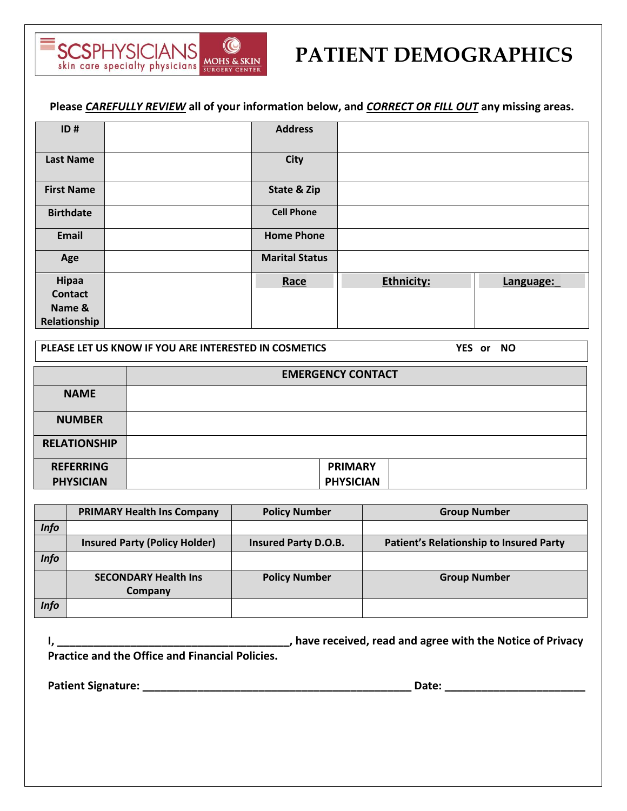

# **PATIENT DEMOGRAPHICS**

**Please** *CAREFULLY REVIEW* **all of your information below, and** *CORRECT OR FILL OUT* **any missing areas.**

| ID#               | <b>Address</b>        |                   |           |
|-------------------|-----------------------|-------------------|-----------|
| <b>Last Name</b>  | <b>City</b>           |                   |           |
| <b>First Name</b> | State & Zip           |                   |           |
| <b>Birthdate</b>  | <b>Cell Phone</b>     |                   |           |
| Email             | <b>Home Phone</b>     |                   |           |
| Age               | <b>Marital Status</b> |                   |           |
| Hipaa             | Race                  | <b>Ethnicity:</b> | Language: |
| <b>Contact</b>    |                       |                   |           |
| Name &            |                       |                   |           |
| Relationship      |                       |                   |           |

**PLEASE LET US KNOW IF YOU ARE INTERESTED IN COSMETICS YES or NO**

|                     | <b>EMERGENCY CONTACT</b> |  |  |
|---------------------|--------------------------|--|--|
| <b>NAME</b>         |                          |  |  |
| <b>NUMBER</b>       |                          |  |  |
| <b>RELATIONSHIP</b> |                          |  |  |
| <b>REFERRING</b>    | <b>PRIMARY</b>           |  |  |
| <b>PHYSICIAN</b>    | <b>PHYSICIAN</b>         |  |  |

|             | <b>PRIMARY Health Ins Company</b>    | <b>Policy Number</b> | <b>Group Number</b>                     |
|-------------|--------------------------------------|----------------------|-----------------------------------------|
| <b>Info</b> |                                      |                      |                                         |
|             | <b>Insured Party (Policy Holder)</b> | Insured Party D.O.B. | Patient's Relationship to Insured Party |
| <b>Info</b> |                                      |                      |                                         |
|             | <b>SECONDARY Health Ins</b>          | <b>Policy Number</b> | <b>Group Number</b>                     |
|             | Company                              |                      |                                         |
| <b>Info</b> |                                      |                      |                                         |

**I, \_\_\_\_\_\_\_\_\_\_\_\_\_\_\_\_\_\_\_\_\_\_\_\_\_\_\_\_\_\_\_\_\_\_\_\_\_\_, have received, read and agree with the Notice of Privacy Practice and the Office and Financial Policies. Patient Signature: \_\_\_\_\_\_\_\_\_\_\_\_\_\_\_\_\_\_\_\_\_\_\_\_\_\_\_\_\_\_\_\_\_\_\_\_\_\_\_\_\_\_\_\_ Date: \_\_\_\_\_\_\_\_\_\_\_\_\_\_\_\_\_\_\_\_\_\_\_**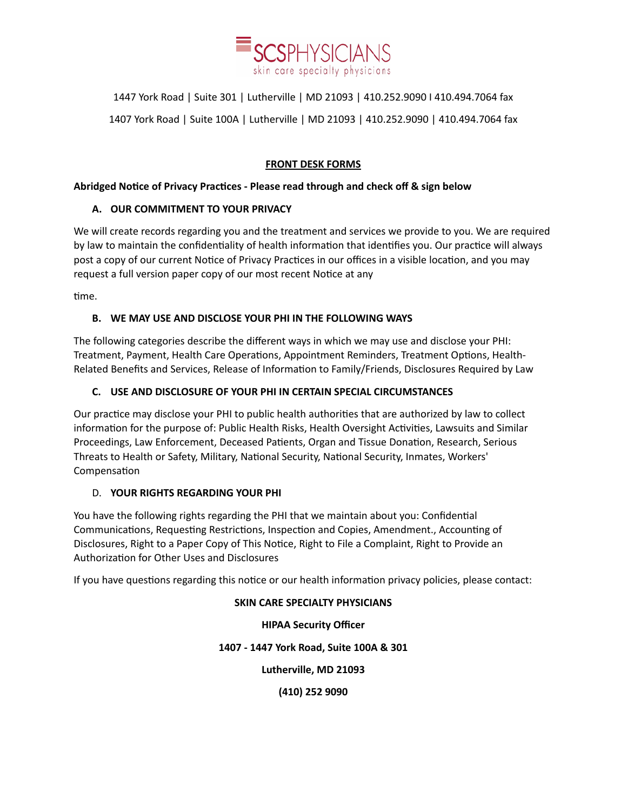

1447 York Road | Suite 301 | Lutherville | MD 21093 | 410.252.9090 I 410.494.7064 fax 1407 York Road | Suite 100A | Lutherville | MD 21093 | 410.252.9090 | 410.494.7064 fax

### **FRONT DESK FORMS**

#### **Abridged Notice of Privacy Practices - Please read through and check off & sign below**

#### **A. OUR COMMITMENT TO YOUR PRIVACY**

We will create records regarding you and the treatment and services we provide to you. We are required by law to maintain the confidentiality of health information that identifies you. Our practice will always post a copy of our current Notice of Privacy Practices in our offices in a visible location, and you may request a full version paper copy of our most recent Notice at any

time.

#### **B. WE MAY USE AND DISCLOSE YOUR PHI IN THE FOLLOWING WAYS**

The following categories describe the different ways in which we may use and disclose your PHI: Treatment, Payment, Health Care Operations, Appointment Reminders, Treatment Options, Health-Related Benefits and Services, Release of Information to Family/Friends, Disclosures Required by Law

#### **C. USE AND DISCLOSURE OF YOUR PHI IN CERTAIN SPECIAL CIRCUMSTANCES**

Our practice may disclose your PHI to public health authorities that are authorized by law to collect information for the purpose of: Public Health Risks, Health Oversight Activities, Lawsuits and Similar Proceedings, Law Enforcement, Deceased Patients, Organ and Tissue Donation, Research, Serious Threats to Health or Safety, Military, National Security, National Security, Inmates, Workers' Compensation

#### D. **YOUR RIGHTS REGARDING YOUR PHI**

You have the following rights regarding the PHI that we maintain about you: Confidential Communications, Requesting Restrictions, Inspection and Copies, Amendment., Accounting of Disclosures, Right to a Paper Copy of This Notice, Right to File a Complaint, Right to Provide an Authorization for Other Uses and Disclosures

If you have questions regarding this notice or our health information privacy policies, please contact:

## **SKIN CARE SPECIALTY PHYSICIANS**

**HIPAA Security Officer 1407 - 1447 York Road, Suite 100A & 301 Lutherville, MD 21093 (410) 252 9090**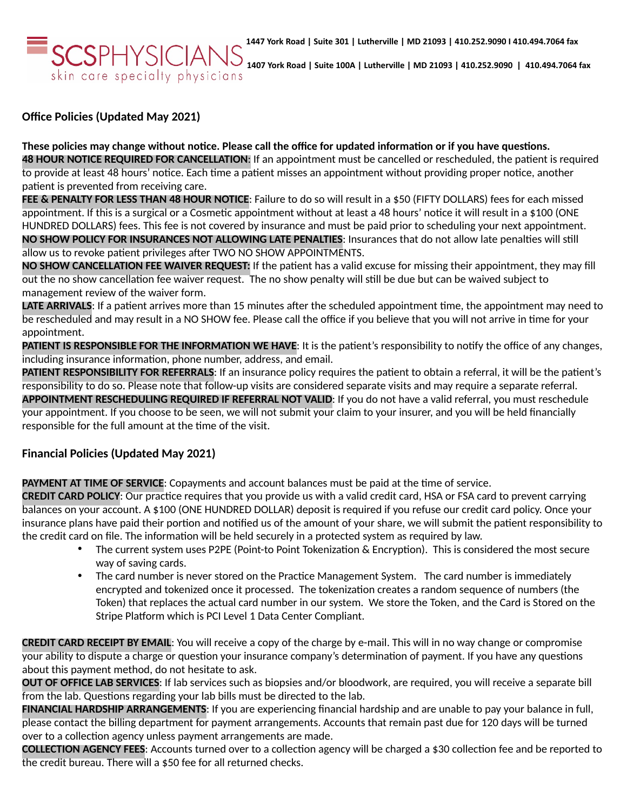**1407 York Road | Suite 100A | Lutherville | MD 21093 | 410.252.9090 | 410.494.7064 fax** skin care specialty physicians

**Office Policies (Updated May 2021)**

**These policies may change without notice. Please call the office for updated information or if you have questions. 48 HOUR NOTICE REQUIRED FOR CANCELLATION**: If an appointment must be cancelled or rescheduled, the patient is required to provide at least 48 hours' notice. Each time a patient misses an appointment without providing proper notice, another patient is prevented from receiving care.

**FEE & PENALTY FOR LESS THAN 48 HOUR NOTICE**: Failure to do so will result in a \$50 (FIFTY DOLLARS) fees for each missed appointment. If this is a surgical or a Cosmetic appointment without at least a 48 hours' notice it will result in a \$100 (ONE HUNDRED DOLLARS) fees. This fee is not covered by insurance and must be paid prior to scheduling your next appointment. **NO SHOW POLICY FOR INSURANCES NOT ALLOWING LATE PENALTIES**: Insurances that do not allow late penalties will still allow us to revoke patient privileges after TWO NO SHOW APPOINTMENTS.

**NO SHOW CANCELLATION FEE WAIVER REQUEST:** If the patient has a valid excuse for missing their appointment, they may fill out the no show cancellation fee waiver request. The no show penalty will still be due but can be waived subject to management review of the waiver form.

LATE ARRIVALS: If a patient arrives more than 15 minutes after the scheduled appointment time, the appointment may need to be rescheduled and may result in a NO SHOW fee. Please call the office if you believe that you will not arrive in time for your appointment.

**PATIENT IS RESPONSIBLE FOR THE INFORMATION WE HAVE**: It is the patient's responsibility to notify the office of any changes, including insurance information, phone number, address, and email.

PATIENT RESPONSIBILITY FOR REFERRALS: If an insurance policy requires the patient to obtain a referral, it will be the patient's responsibility to do so. Please note that follow-up visits are considered separate visits and may require a separate referral. **APPOINTMENT RESCHEDULING REQUIRED IF REFERRAL NOT VALID**: If you do not have a valid referral, you must reschedule your appointment. If you choose to be seen, we will not submit your claim to your insurer, and you will be held financially responsible for the full amount at the time of the visit.

# **Financial Policies (Updated May 2021)**

**PAYMENT AT TIME OF SERVICE**: Copayments and account balances must be paid at the time of service.

**CREDIT CARD POLICY**: Our practice requires that you provide us with a valid credit card, HSA or FSA card to prevent carrying balances on your account. A \$100 (ONE HUNDRED DOLLAR) deposit is required if you refuse our credit card policy. Once your insurance plans have paid their portion and notified us of the amount of your share, we will submit the patient responsibility to the credit card on file. The information will be held securely in a protected system as required by law.

- The current system uses P2PE (Point-to Point Tokenization & Encryption). This is considered the most secure way of saving cards.
- The card number is never stored on the Practice Management System. The card number is immediately encrypted and tokenized once it processed. The tokenization creates a random sequence of numbers (the Token) that replaces the actual card number in our system. We store the Token, and the Card is Stored on the Stripe Platform which is PCI Level 1 Data Center Compliant.

**CREDIT CARD RECEIPT BY EMAIL**: You will receive a copy of the charge by e-mail. This will in no way change or compromise your ability to dispute a charge or question your insurance company's determination of payment. If you have any questions about this payment method, do not hesitate to ask.

**OUT OF OFFICE LAB SERVICES**: If lab services such as biopsies and/or bloodwork, are required, you will receive a separate bill from the lab. Questions regarding your lab bills must be directed to the lab.

**FINANCIAL HARDSHIP ARRANGEMENTS**: If you are experiencing financial hardship and are unable to pay your balance in full, please contact the billing department for payment arrangements. Accounts that remain past due for 120 days will be turned over to a collection agency unless payment arrangements are made.

**COLLECTION AGENCY FEES**: Accounts turned over to a collection agency will be charged a \$30 collection fee and be reported to the credit bureau. There will a \$50 fee for all returned checks.